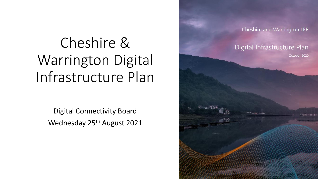#### Cheshire & Warrington Digital Infrastructure Plan

Digital Connectivity Board Wednesday 25<sup>th</sup> August 2021

Cheshire and Warrington LEP Digital Infrastructure Plan October 2020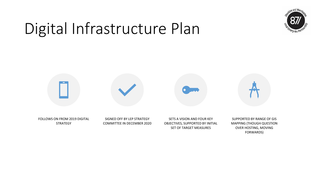

FORWARDS)

### Digital Infrastructure Plan

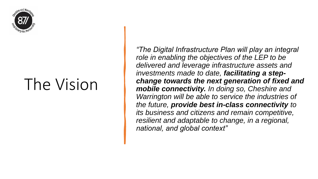

### The Vision

*"The Digital Infrastructure Plan will play an integral role in enabling the objectives of the LEP to be delivered and leverage infrastructure assets and investments made to date, facilitating a stepchange towards the next generation of fixed and mobile connectivity. In doing so, Cheshire and Warrington will be able to service the industries of the future, provide best in-class connectivity to its business and citizens and remain competitive, resilient and adaptable to change, in a regional, national, and global context"*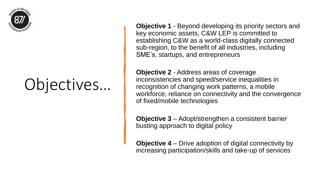

## Objectives…

**Objective 1** - Beyond developing its priority sectors and key economic assets, C&W LEP is committed to establishing C&W as a world-class digitally connected sub-region, to the benefit of all industries, including SME's, startups, and entrepreneurs

**Objective 2** - Address areas of coverage inconsistencies and speed/service inequalities in recognition of changing work patterns, a mobile workforce, reliance on connectivity and the convergence of fixed/mobile technologies

**Objective 3** – Adopt/strengthen a consistent barrier busting approach to digital policy

**Objective 4** – Drive adoption of digital connectivity by increasing participation/skills and take-up of services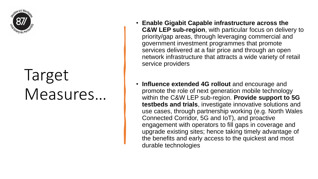

## Target Measures…

- **Enable Gigabit Capable infrastructure across the C&W LEP sub-region**, with particular focus on delivery to priority/gap areas, through leveraging commercial and government investment programmes that promote services delivered at a fair price and through an open network infrastructure that attracts a wide variety of retail service providers
- **Influence extended 4G rollout** and encourage and promote the role of next generation mobile technology within the C&W LEP sub-region. **Provide support to 5G testbeds and trials**, investigate innovative solutions and use cases, through partnership working (e.g. North Wales Connected Corridor, 5G and IoT), and proactive engagement with operators to fill gaps in coverage and upgrade existing sites; hence taking timely advantage of the benefits and early access to the quickest and most durable technologies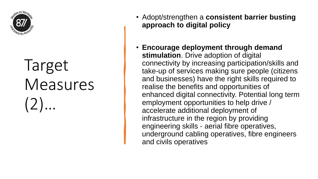

# Target Measures (2)…

- Adopt/strengthen a **consistent barrier busting approach to digital policy**
- **Encourage deployment through demand stimulation**. Drive adoption of digital connectivity by increasing participation/skills and take-up of services making sure people (citizens and businesses) have the right skills required to realise the benefits and opportunities of enhanced digital connectivity. Potential long term employment opportunities to help drive / accelerate additional deployment of infrastructure in the region by providing engineering skills - aerial fibre operatives, underground cabling operatives, fibre engineers and civils operatives